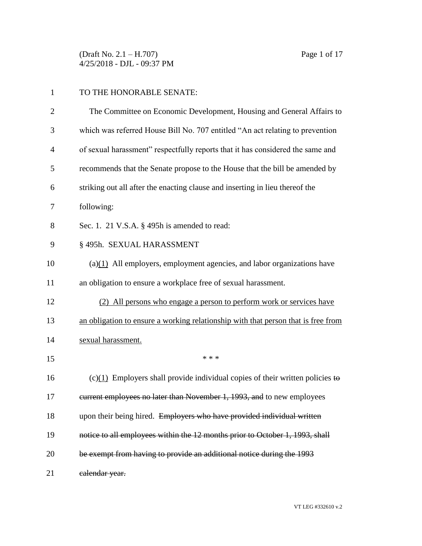(Draft No. 2.1 – H.707) Page 1 of 17 4/25/2018 - DJL - 09:37 PM

## 1 TO THE HONORABLE SENATE:

| $\overline{2}$ | The Committee on Economic Development, Housing and General Affairs to             |
|----------------|-----------------------------------------------------------------------------------|
| 3              | which was referred House Bill No. 707 entitled "An act relating to prevention     |
| $\overline{4}$ | of sexual harassment" respectfully reports that it has considered the same and    |
| 5              | recommends that the Senate propose to the House that the bill be amended by       |
| 6              | striking out all after the enacting clause and inserting in lieu thereof the      |
| 7              | following:                                                                        |
| 8              | Sec. 1. 21 V.S.A. $\S$ 495h is amended to read:                                   |
| 9              | § 495h. SEXUAL HARASSMENT                                                         |
| 10             | $(a)(1)$ All employers, employment agencies, and labor organizations have         |
| 11             | an obligation to ensure a workplace free of sexual harassment.                    |
| 12             | (2) All persons who engage a person to perform work or services have              |
| 13             | an obligation to ensure a working relationship with that person that is free from |
| 14             | sexual harassment.                                                                |
| 15             | * * *                                                                             |
| 16             | $(c)(1)$ Employers shall provide individual copies of their written policies to   |
| 17             | eurrent employees no later than November 1, 1993, and to new employees            |
| 18             | upon their being hired. Employers who have provided individual written            |
| 19             | notice to all employees within the 12 months prior to October 1, 1993, shall      |
| 20             | be exempt from having to provide an additional notice during the 1993             |
| 21             | calendar year.                                                                    |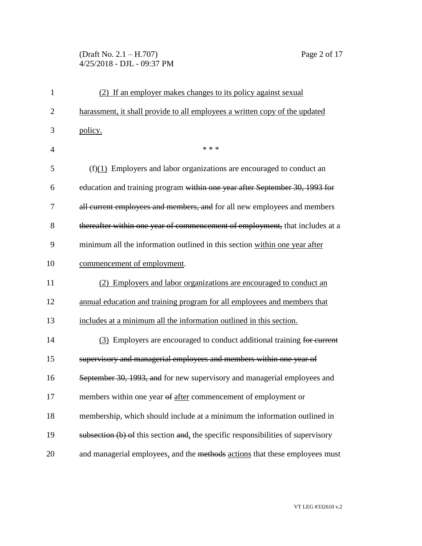## (Draft No. 2.1 – H.707) Page 2 of 17 4/25/2018 - DJL - 09:37 PM

| $\mathbf{1}$   | (2) If an employer makes changes to its policy against sexual                    |
|----------------|----------------------------------------------------------------------------------|
| $\overline{2}$ | harassment, it shall provide to all employees a written copy of the updated      |
| 3              | policy.                                                                          |
| $\overline{4}$ | * * *                                                                            |
| 5              | $(f)(1)$ Employers and labor organizations are encouraged to conduct an          |
| 6              | education and training program within one year after September 30, 1993 for      |
| 7              | all current employees and members, and for all new employees and members         |
| 8              | thereafter within one year of commencement of employment, that includes at a     |
| 9              | minimum all the information outlined in this section within one year after       |
| 10             | commencement of employment.                                                      |
| 11             | (2) Employers and labor organizations are encouraged to conduct an               |
| 12             | annual education and training program for all employees and members that         |
| 13             | includes at a minimum all the information outlined in this section.              |
| 14             | (3) Employers are encouraged to conduct additional training for current          |
| 15             | supervisory and managerial employees and members within one year of              |
| 16             | September 30, 1993, and for new supervisory and managerial employees and         |
| 17             | members within one year of after commencement of employment or                   |
| 18             | membership, which should include at a minimum the information outlined in        |
| 19             | subsection (b) of this section and, the specific responsibilities of supervisory |
| 20             | and managerial employees, and the methods actions that these employees must      |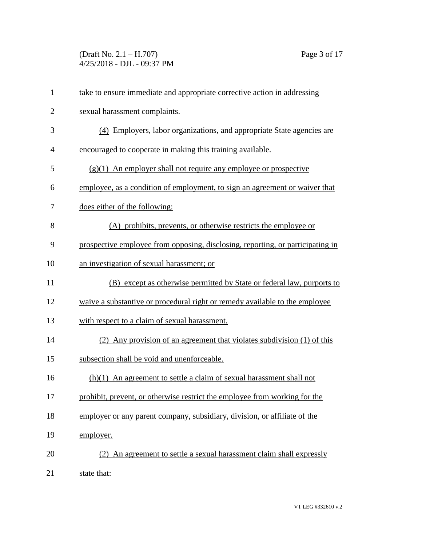(Draft No. 2.1 – H.707) Page 3 of 17 4/25/2018 - DJL - 09:37 PM

| $\mathbf{1}$   | take to ensure immediate and appropriate corrective action in addressing       |
|----------------|--------------------------------------------------------------------------------|
| $\overline{c}$ | sexual harassment complaints.                                                  |
| 3              | (4) Employers, labor organizations, and appropriate State agencies are         |
| 4              | encouraged to cooperate in making this training available.                     |
| 5              | $(g)(1)$ An employer shall not require any employee or prospective             |
| 6              | employee, as a condition of employment, to sign an agreement or waiver that    |
| 7              | does either of the following:                                                  |
| 8              | (A) prohibits, prevents, or otherwise restricts the employee or                |
| 9              | prospective employee from opposing, disclosing, reporting, or participating in |
| 10             | an investigation of sexual harassment; or                                      |
| 11             | (B) except as otherwise permitted by State or federal law, purports to         |
| 12             | waive a substantive or procedural right or remedy available to the employee    |
| 13             | with respect to a claim of sexual harassment.                                  |
| 14             | (2) Any provision of an agreement that violates subdivision (1) of this        |
| 15             | subsection shall be void and unenforceable.                                    |
| 16             | $(h)(1)$ An agreement to settle a claim of sexual harassment shall not         |
| 17             | prohibit, prevent, or otherwise restrict the employee from working for the     |
| 18             | employer or any parent company, subsidiary, division, or affiliate of the      |
| 19             | employer.                                                                      |
| 20             | (2) An agreement to settle a sexual harassment claim shall expressly           |
| 21             | state that:                                                                    |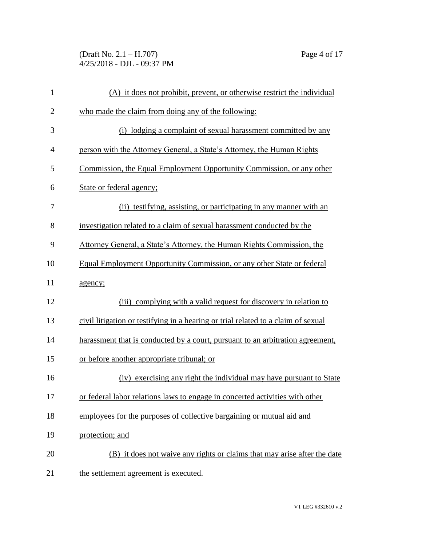(Draft No. 2.1 – H.707) Page 4 of 17 4/25/2018 - DJL - 09:37 PM

| $\mathbf{1}$   | (A) it does not prohibit, prevent, or otherwise restrict the individual           |
|----------------|-----------------------------------------------------------------------------------|
| $\overline{2}$ | who made the claim from doing any of the following:                               |
| 3              | (i) lodging a complaint of sexual harassment committed by any                     |
| $\overline{4}$ | person with the Attorney General, a State's Attorney, the Human Rights            |
| 5              | Commission, the Equal Employment Opportunity Commission, or any other             |
| 6              | State or federal agency;                                                          |
| 7              | (ii) testifying, assisting, or participating in any manner with an                |
| 8              | investigation related to a claim of sexual harassment conducted by the            |
| 9              | Attorney General, a State's Attorney, the Human Rights Commission, the            |
| 10             | Equal Employment Opportunity Commission, or any other State or federal            |
| 11             | agency;                                                                           |
| 12             | (iii) complying with a valid request for discovery in relation to                 |
| 13             | civil litigation or testifying in a hearing or trial related to a claim of sexual |
| 14             | harassment that is conducted by a court, pursuant to an arbitration agreement,    |
| 15             | or before another appropriate tribunal; or                                        |
| 16             | (iv) exercising any right the individual may have pursuant to State               |
| 17             | or federal labor relations laws to engage in concerted activities with other      |
| 18             | employees for the purposes of collective bargaining or mutual aid and             |
| 19             | protection; and                                                                   |
| 20             | (B) it does not waive any rights or claims that may arise after the date          |
| 21             | the settlement agreement is executed.                                             |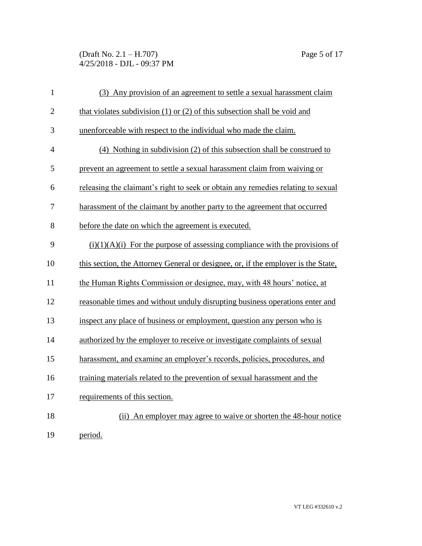(Draft No. 2.1 – H.707) Page 5 of 17 4/25/2018 - DJL - 09:37 PM

| $\mathbf{1}$   | (3) Any provision of an agreement to settle a sexual harassment claim             |
|----------------|-----------------------------------------------------------------------------------|
| $\overline{2}$ | that violates subdivision $(1)$ or $(2)$ of this subsection shall be void and     |
| 3              | unenforceable with respect to the individual who made the claim.                  |
| $\overline{4}$ | (4) Nothing in subdivision (2) of this subsection shall be construed to           |
| 5              | prevent an agreement to settle a sexual harassment claim from waiving or          |
| 6              | releasing the claimant's right to seek or obtain any remedies relating to sexual  |
| 7              | harassment of the claimant by another party to the agreement that occurred        |
| 8              | before the date on which the agreement is executed.                               |
| 9              | $(i)(1)(A)(i)$ For the purpose of assessing compliance with the provisions of     |
| 10             | this section, the Attorney General or designee, or, if the employer is the State, |
| 11             | the Human Rights Commission or designee, may, with 48 hours' notice, at           |
| 12             | reasonable times and without unduly disrupting business operations enter and      |
| 13             | inspect any place of business or employment, question any person who is           |
| 14             | authorized by the employer to receive or investigate complaints of sexual         |
| 15             | harassment, and examine an employer's records, policies, procedures, and          |
| 16             | training materials related to the prevention of sexual harassment and the         |
| 17             | requirements of this section.                                                     |
| 18             | (ii) An employer may agree to waive or shorten the 48-hour notice                 |
| 19             | period.                                                                           |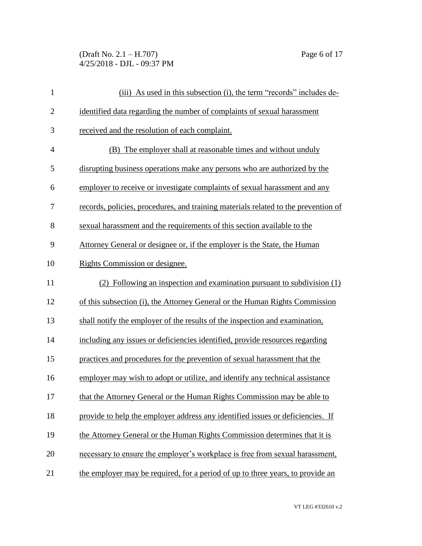(Draft No. 2.1 – H.707) Page 6 of 17 4/25/2018 - DJL - 09:37 PM

| $\mathbf{1}$   | (iii) As used in this subsection (i), the term "records" includes de-              |
|----------------|------------------------------------------------------------------------------------|
| $\mathbf{2}$   | identified data regarding the number of complaints of sexual harassment            |
| 3              | received and the resolution of each complaint.                                     |
| $\overline{4}$ | (B) The employer shall at reasonable times and without unduly                      |
| 5              | disrupting business operations make any persons who are authorized by the          |
| 6              | employer to receive or investigate complaints of sexual harassment and any         |
| 7              | records, policies, procedures, and training materials related to the prevention of |
| 8              | sexual harassment and the requirements of this section available to the            |
| 9              | Attorney General or designee or, if the employer is the State, the Human           |
| 10             | Rights Commission or designee.                                                     |
| 11             | (2) Following an inspection and examination pursuant to subdivision (1)            |
| 12             | of this subsection (i), the Attorney General or the Human Rights Commission        |
| 13             | shall notify the employer of the results of the inspection and examination,        |
| 14             | including any issues or deficiencies identified, provide resources regarding       |
| 15             | practices and procedures for the prevention of sexual harassment that the          |
| 16             | employer may wish to adopt or utilize, and identify any technical assistance       |
| 17             | that the Attorney General or the Human Rights Commission may be able to            |
| 18             | provide to help the employer address any identified issues or deficiencies. If     |
| 19             | the Attorney General or the Human Rights Commission determines that it is          |
| 20             | necessary to ensure the employer's workplace is free from sexual harassment,       |
| 21             | the employer may be required, for a period of up to three years, to provide an     |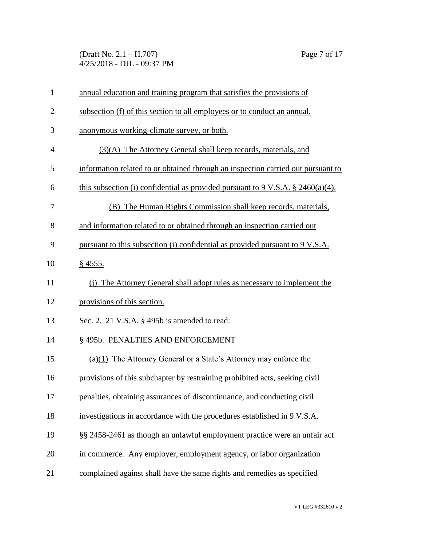(Draft No. 2.1 – H.707) Page 7 of 17 4/25/2018 - DJL - 09:37 PM

| $\mathbf{1}$   | annual education and training program that satisfies the provisions of             |
|----------------|------------------------------------------------------------------------------------|
| $\overline{2}$ | subsection (f) of this section to all employees or to conduct an annual,           |
| 3              | anonymous working-climate survey, or both.                                         |
| 4              | (3)(A) The Attorney General shall keep records, materials, and                     |
| 5              | information related to or obtained through an inspection carried out pursuant to   |
| 6              | this subsection (i) confidential as provided pursuant to 9 V.S.A. $\S$ 2460(a)(4). |
| 7              | (B) The Human Rights Commission shall keep records, materials,                     |
| 8              | and information related to or obtained through an inspection carried out           |
| 9              | pursuant to this subsection (i) confidential as provided pursuant to 9 V.S.A.      |
| 10             | $§$ 4555.                                                                          |
| 11             | (i) The Attorney General shall adopt rules as necessary to implement the           |
| 12             | provisions of this section.                                                        |
| 13             | Sec. 2. 21 V.S.A. § 495b is amended to read:                                       |
| 14             | § 495b. PENALTIES AND ENFORCEMENT                                                  |
| 15             | (a) $(1)$ The Attorney General or a State's Attorney may enforce the               |
| 16             | provisions of this subchapter by restraining prohibited acts, seeking civil        |
| 17             | penalties, obtaining assurances of discontinuance, and conducting civil            |
| 18             | investigations in accordance with the procedures established in 9 V.S.A.           |
| 19             | §§ 2458-2461 as though an unlawful employment practice were an unfair act          |
| 20             | in commerce. Any employer, employment agency, or labor organization                |
| 21             | complained against shall have the same rights and remedies as specified            |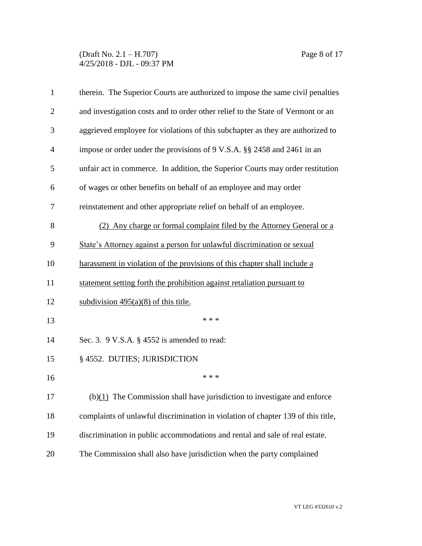(Draft No. 2.1 – H.707) Page 8 of 17 4/25/2018 - DJL - 09:37 PM

| $\mathbf{1}$   | therein. The Superior Courts are authorized to impose the same civil penalties   |
|----------------|----------------------------------------------------------------------------------|
| $\overline{2}$ | and investigation costs and to order other relief to the State of Vermont or an  |
| 3              | aggrieved employee for violations of this subchapter as they are authorized to   |
| $\overline{4}$ | impose or order under the provisions of 9 V.S.A. §§ 2458 and 2461 in an          |
| 5              | unfair act in commerce. In addition, the Superior Courts may order restitution   |
| 6              | of wages or other benefits on behalf of an employee and may order                |
| 7              | reinstatement and other appropriate relief on behalf of an employee.             |
| 8              | (2) Any charge or formal complaint filed by the Attorney General or a            |
| 9              | State's Attorney against a person for unlawful discrimination or sexual          |
| 10             | harassment in violation of the provisions of this chapter shall include a        |
| 11             | statement setting forth the prohibition against retaliation pursuant to          |
| 12             | subdivision $495(a)(8)$ of this title.                                           |
| 13             | * * *                                                                            |
| 14             | Sec. 3. 9 V.S.A. § 4552 is amended to read:                                      |
| 15             | § 4552. DUTIES; JURISDICTION                                                     |
| 16             | * * *                                                                            |
| 17             | $(b)(1)$ The Commission shall have jurisdiction to investigate and enforce       |
| 18             | complaints of unlawful discrimination in violation of chapter 139 of this title, |
| 19             | discrimination in public accommodations and rental and sale of real estate.      |
| 20             | The Commission shall also have jurisdiction when the party complained            |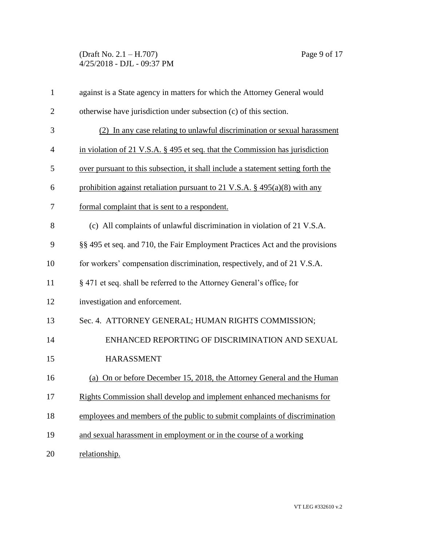## (Draft No. 2.1 – H.707) Page 9 of 17 4/25/2018 - DJL - 09:37 PM

| $\mathbf{1}$   | against is a State agency in matters for which the Attorney General would        |
|----------------|----------------------------------------------------------------------------------|
| $\overline{2}$ | otherwise have jurisdiction under subsection (c) of this section.                |
| 3              | (2) In any case relating to unlawful discrimination or sexual harassment         |
| $\overline{4}$ | in violation of 21 V.S.A. $\S$ 495 et seq. that the Commission has jurisdiction  |
| 5              | over pursuant to this subsection, it shall include a statement setting forth the |
| 6              | prohibition against retaliation pursuant to 21 V.S.A. $\S$ 495(a)(8) with any    |
| 7              | formal complaint that is sent to a respondent.                                   |
| 8              | (c) All complaints of unlawful discrimination in violation of 21 V.S.A.          |
| 9              | §§ 495 et seq. and 710, the Fair Employment Practices Act and the provisions     |
| 10             | for workers' compensation discrimination, respectively, and of 21 V.S.A.         |
| 11             | § 471 et seq. shall be referred to the Attorney General's office, for            |
| 12             | investigation and enforcement.                                                   |
| 13             | Sec. 4. ATTORNEY GENERAL; HUMAN RIGHTS COMMISSION;                               |
| 14             | ENHANCED REPORTING OF DISCRIMINATION AND SEXUAL                                  |
| 15             | <b>HARASSMENT</b>                                                                |
| 16             | (a) On or before December 15, 2018, the Attorney General and the Human           |
| 17             | Rights Commission shall develop and implement enhanced mechanisms for            |
| 18             | employees and members of the public to submit complaints of discrimination       |
| 19             | and sexual harassment in employment or in the course of a working                |
| 20             | relationship.                                                                    |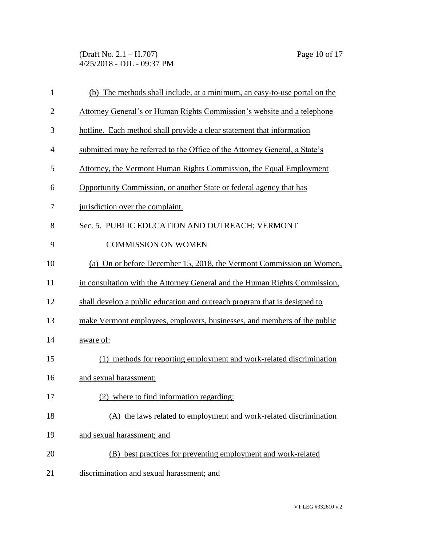(Draft No. 2.1 – H.707) Page 10 of 17 4/25/2018 - DJL - 09:37 PM

| $\mathbf{1}$   | (b) The methods shall include, at a minimum, an easy-to-use portal on the  |
|----------------|----------------------------------------------------------------------------|
| $\overline{2}$ | Attorney General's or Human Rights Commission's website and a telephone    |
| 3              | hotline. Each method shall provide a clear statement that information      |
| 4              | submitted may be referred to the Office of the Attorney General, a State's |
| 5              | Attorney, the Vermont Human Rights Commission, the Equal Employment        |
| 6              | Opportunity Commission, or another State or federal agency that has        |
| 7              | jurisdiction over the complaint.                                           |
| 8              | Sec. 5. PUBLIC EDUCATION AND OUTREACH; VERMONT                             |
| 9              | <b>COMMISSION ON WOMEN</b>                                                 |
| 10             | (a) On or before December 15, 2018, the Vermont Commission on Women,       |
| 11             | in consultation with the Attorney General and the Human Rights Commission, |
| 12             | shall develop a public education and outreach program that is designed to  |
| 13             | make Vermont employees, employers, businesses, and members of the public   |
| 14             | aware of:                                                                  |
| 15             | (1) methods for reporting employment and work-related discrimination       |
| 16             | and sexual harassment;                                                     |
| 17             | (2) where to find information regarding:                                   |
| 18             | (A) the laws related to employment and work-related discrimination         |
| 19             | and sexual harassment; and                                                 |
| 20             | (B) best practices for preventing employment and work-related              |
| 21             | discrimination and sexual harassment; and                                  |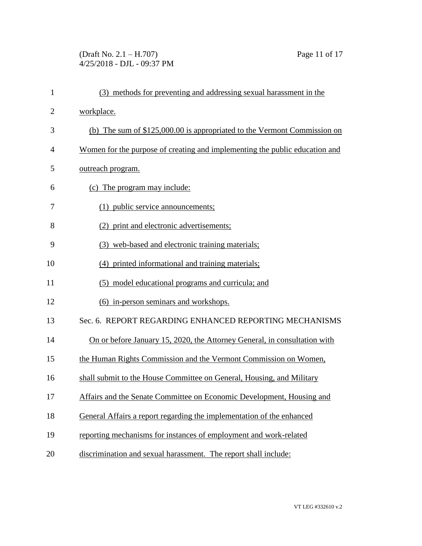(Draft No. 2.1 – H.707) Page 11 of 17 4/25/2018 - DJL - 09:37 PM

| $\mathbf{1}$   | (3) methods for preventing and addressing sexual harassment in the          |
|----------------|-----------------------------------------------------------------------------|
| $\overline{2}$ | workplace.                                                                  |
| 3              | (b) The sum of $$125,000.00$ is appropriated to the Vermont Commission on   |
| $\overline{4}$ | Women for the purpose of creating and implementing the public education and |
| 5              | outreach program.                                                           |
| 6              | (c) The program may include:                                                |
| 7              | (1) public service announcements;                                           |
| 8              | (2) print and electronic advertisements;                                    |
| 9              | (3) web-based and electronic training materials;                            |
| 10             | (4) printed informational and training materials;                           |
| 11             | (5) model educational programs and curricula; and                           |
| 12             | (6) in-person seminars and workshops.                                       |
| 13             | Sec. 6. REPORT REGARDING ENHANCED REPORTING MECHANISMS                      |
| 14             | On or before January 15, 2020, the Attorney General, in consultation with   |
| 15             | the Human Rights Commission and the Vermont Commission on Women,            |
| 16             | shall submit to the House Committee on General, Housing, and Military       |
| 17             | Affairs and the Senate Committee on Economic Development, Housing and       |
| 18             | General Affairs a report regarding the implementation of the enhanced       |
| 19             | reporting mechanisms for instances of employment and work-related           |
| 20             | discrimination and sexual harassment. The report shall include:             |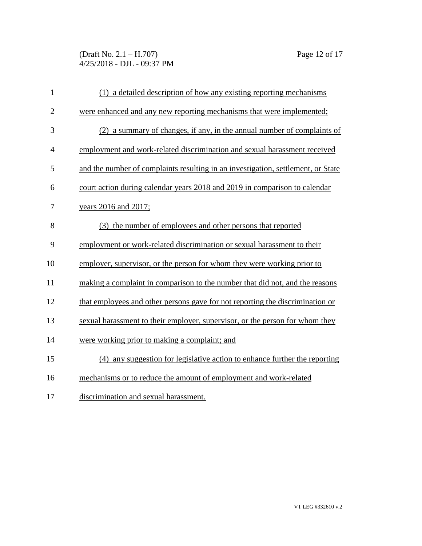(Draft No. 2.1 – H.707) Page 12 of 17 4/25/2018 - DJL - 09:37 PM

| $\mathbf{1}$     | (1) a detailed description of how any existing reporting mechanisms              |
|------------------|----------------------------------------------------------------------------------|
| $\overline{2}$   | were enhanced and any new reporting mechanisms that were implemented;            |
| 3                | (2) a summary of changes, if any, in the annual number of complaints of          |
| 4                | employment and work-related discrimination and sexual harassment received        |
| 5                | and the number of complaints resulting in an investigation, settlement, or State |
| 6                | court action during calendar years 2018 and 2019 in comparison to calendar       |
| $\boldsymbol{7}$ | years 2016 and 2017;                                                             |
| 8                | (3) the number of employees and other persons that reported                      |
| 9                | employment or work-related discrimination or sexual harassment to their          |
| 10               | employer, supervisor, or the person for whom they were working prior to          |
| 11               | making a complaint in comparison to the number that did not, and the reasons     |
| 12               | that employees and other persons gave for not reporting the discrimination or    |
| 13               | sexual harassment to their employer, supervisor, or the person for whom they     |
| 14               | were working prior to making a complaint; and                                    |
| 15               | (4) any suggestion for legislative action to enhance further the reporting       |
| 16               | mechanisms or to reduce the amount of employment and work-related                |
| 17               | discrimination and sexual harassment.                                            |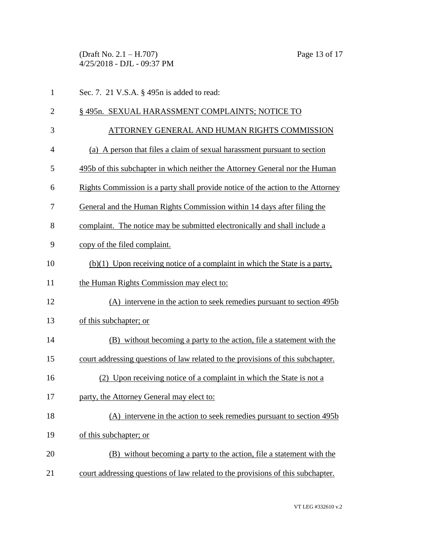(Draft No. 2.1 – H.707) Page 13 of 17 4/25/2018 - DJL - 09:37 PM

| $\mathbf{1}$   | Sec. 7. 21 V.S.A. § 495n is added to read:                                      |  |
|----------------|---------------------------------------------------------------------------------|--|
| $\overline{2}$ | §495n. SEXUAL HARASSMENT COMPLAINTS; NOTICE TO                                  |  |
| 3              | ATTORNEY GENERAL AND HUMAN RIGHTS COMMISSION                                    |  |
| $\overline{4}$ | (a) A person that files a claim of sexual harassment pursuant to section        |  |
| 5              | 495b of this subchapter in which neither the Attorney General nor the Human     |  |
| 6              | Rights Commission is a party shall provide notice of the action to the Attorney |  |
| 7              | General and the Human Rights Commission within 14 days after filing the         |  |
| 8              | complaint. The notice may be submitted electronically and shall include a       |  |
| 9              | copy of the filed complaint.                                                    |  |
| 10             | (b)(1) Upon receiving notice of a complaint in which the State is a party,      |  |
| 11             | the Human Rights Commission may elect to:                                       |  |
| 12             | (A) intervene in the action to seek remedies pursuant to section 495b           |  |
| 13             | of this subchapter; or                                                          |  |
| 14             | (B) without becoming a party to the action, file a statement with the           |  |
| 15             | court addressing questions of law related to the provisions of this subchapter. |  |
| 16             | (2) Upon receiving notice of a complaint in which the State is not a            |  |
| 17             | party, the Attorney General may elect to:                                       |  |
| 18             | (A) intervene in the action to seek remedies pursuant to section 495b           |  |
| 19             | of this subchapter; or                                                          |  |
| 20             | (B) without becoming a party to the action, file a statement with the           |  |
| 21             | court addressing questions of law related to the provisions of this subchapter. |  |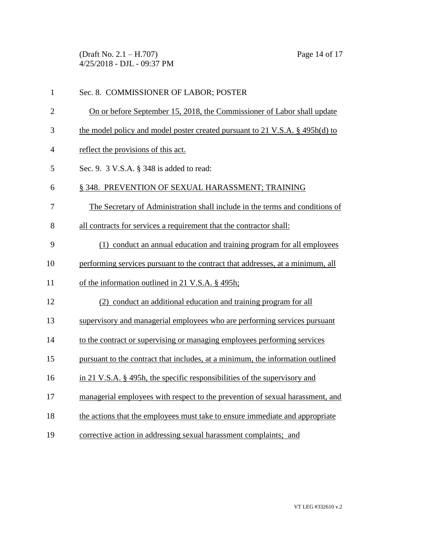(Draft No. 2.1 – H.707) Page 14 of 17 4/25/2018 - DJL - 09:37 PM

| $\mathbf{1}$   | Sec. 8. COMMISSIONER OF LABOR; POSTER                                           |
|----------------|---------------------------------------------------------------------------------|
| $\overline{2}$ | On or before September 15, 2018, the Commissioner of Labor shall update         |
| 3              | the model policy and model poster created pursuant to 21 V.S.A. $\S$ 495h(d) to |
| 4              | reflect the provisions of this act.                                             |
| 5              | Sec. 9. 3 V.S.A. § 348 is added to read:                                        |
| 6              | § 348. PREVENTION OF SEXUAL HARASSMENT; TRAINING                                |
| 7              | The Secretary of Administration shall include in the terms and conditions of    |
| 8              | all contracts for services a requirement that the contractor shall:             |
| 9              | (1) conduct an annual education and training program for all employees          |
| 10             | performing services pursuant to the contract that addresses, at a minimum, all  |
| 11             | of the information outlined in 21 V.S.A. § 495h;                                |
| 12             | (2) conduct an additional education and training program for all                |
| 13             | supervisory and managerial employees who are performing services pursuant       |
| 14             | to the contract or supervising or managing employees performing services        |
| 15             | pursuant to the contract that includes, at a minimum, the information outlined  |
| 16             | in 21 V.S.A. § 495h, the specific responsibilities of the supervisory and       |
| 17             | managerial employees with respect to the prevention of sexual harassment, and   |
| 18             | the actions that the employees must take to ensure immediate and appropriate    |
| 19             | corrective action in addressing sexual harassment complaints; and               |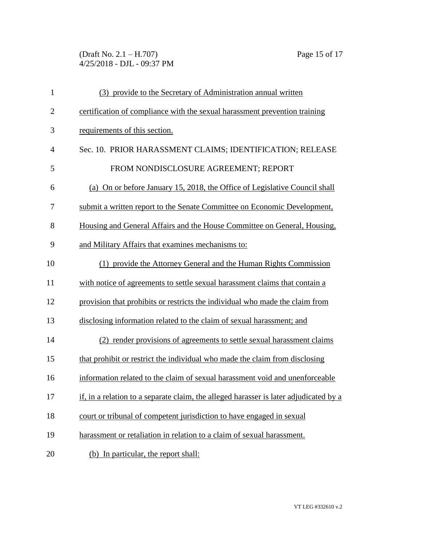(Draft No. 2.1 – H.707) Page 15 of 17 4/25/2018 - DJL - 09:37 PM

| $\mathbf{1}$   | (3) provide to the Secretary of Administration annual written                         |
|----------------|---------------------------------------------------------------------------------------|
| $\overline{2}$ | certification of compliance with the sexual harassment prevention training            |
| 3              | requirements of this section.                                                         |
| 4              | Sec. 10. PRIOR HARASSMENT CLAIMS; IDENTIFICATION; RELEASE                             |
| 5              | FROM NONDISCLOSURE AGREEMENT; REPORT                                                  |
| 6              | (a) On or before January 15, 2018, the Office of Legislative Council shall            |
| 7              | submit a written report to the Senate Committee on Economic Development,              |
| 8              | Housing and General Affairs and the House Committee on General, Housing,              |
| 9              | and Military Affairs that examines mechanisms to:                                     |
| 10             | (1) provide the Attorney General and the Human Rights Commission                      |
| 11             | with notice of agreements to settle sexual harassment claims that contain a           |
| 12             | provision that prohibits or restricts the individual who made the claim from          |
| 13             | disclosing information related to the claim of sexual harassment; and                 |
| 14             | (2) render provisions of agreements to settle sexual harassment claims                |
| 15             | that prohibit or restrict the individual who made the claim from disclosing           |
| 16             | information related to the claim of sexual harassment void and unenforceable          |
| 17             | if, in a relation to a separate claim, the alleged harasser is later adjudicated by a |
| 18             | court or tribunal of competent jurisdiction to have engaged in sexual                 |
| 19             | harassment or retaliation in relation to a claim of sexual harassment.                |
| 20             | (b) In particular, the report shall:                                                  |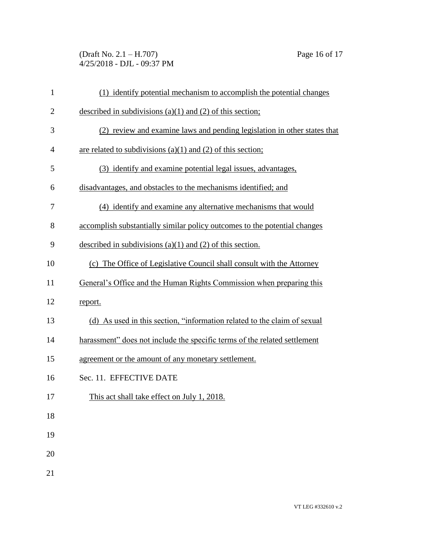(Draft No. 2.1 – H.707) Page 16 of 17 4/25/2018 - DJL - 09:37 PM

| $\mathbf{1}$   | (1) identify potential mechanism to accomplish the potential changes      |  |  |
|----------------|---------------------------------------------------------------------------|--|--|
| $\overline{c}$ | described in subdivisions $(a)(1)$ and $(2)$ of this section;             |  |  |
| 3              | (2) review and examine laws and pending legislation in other states that  |  |  |
| 4              | are related to subdivisions $(a)(1)$ and $(2)$ of this section;           |  |  |
| 5              | (3) identify and examine potential legal issues, advantages,              |  |  |
| 6              | disadvantages, and obstacles to the mechanisms identified; and            |  |  |
| 7              | (4) identify and examine any alternative mechanisms that would            |  |  |
| 8              | accomplish substantially similar policy outcomes to the potential changes |  |  |
| 9              | described in subdivisions $(a)(1)$ and $(2)$ of this section.             |  |  |
| 10             | (c) The Office of Legislative Council shall consult with the Attorney     |  |  |
| 11             | General's Office and the Human Rights Commission when preparing this      |  |  |
| 12             | report.                                                                   |  |  |
| 13             | (d) As used in this section, "information related to the claim of sexual  |  |  |
| 14             | harassment" does not include the specific terms of the related settlement |  |  |
| 15             | agreement or the amount of any monetary settlement.                       |  |  |
| 16             | Sec. 11. EFFECTIVE DATE                                                   |  |  |
| 17             | This act shall take effect on July 1, 2018.                               |  |  |
| 18             |                                                                           |  |  |
| 19             |                                                                           |  |  |
| 20             |                                                                           |  |  |
| 21             |                                                                           |  |  |